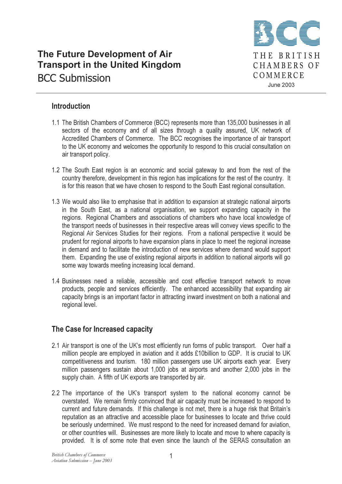# The Future Development of Air Transport in the United Kingdom BCC Submission



### Introduction

- 1.1 The British Chambers of Commerce (BCC) represents more than 135,000 businesses in all sectors of the economy and of all sizes through a quality assured, UK network of Accredited Chambers of Commerce. The BCC recognises the importance of air transport to the UK economy and welcomes the opportunity to respond to this crucial consultation on air transport policy.
- 1.2 The South East region is an economic and social gateway to and from the rest of the country therefore, development in this region has implications for the rest of the country. It is for this reason that we have chosen to respond to the South East regional consultation.
- 1.3 We would also like to emphasise that in addition to expansion at strategic national airports in the South East, as a national organisation, we support expanding capacity in the regions. Regional Chambers and associations of chambers who have local knowledge of the transport needs of businesses in their respective areas will convey views specific to the Regional Air Services Studies for their regions. From a national perspective it would be prudent for regional airports to have expansion plans in place to meet the regional increase in demand and to facilitate the introduction of new services where demand would support them. Expanding the use of existing regional airports in addition to national airports will go some way towards meeting increasing local demand.
- 1.4 Businesses need a reliable, accessible and cost effective transport network to move products, people and services efficiently. The enhanced accessibility that expanding air capacity brings is an important factor in attracting inward investment on both a national and regional level.

## The Case for Increased capacity

- 2.1 Air transport is one of the UK's most efficiently run forms of public transport. Over half a million people are employed in aviation and it adds £10billion to GDP. It is crucial to UK competitiveness and tourism. 180 million passengers use UK airports each year. Every million passengers sustain about 1,000 jobs at airports and another 2,000 jobs in the supply chain. A fifth of UK exports are transported by air.
- 2.2 The importance of the UK's transport system to the national economy cannot be overstated. We remain firmly convinced that air capacity must be increased to respond to current and future demands. If this challenge is not met, there is a huge risk that Britain's reputation as an attractive and accessible place for businesses to locate and thrive could be seriously undermined. We must respond to the need for increased demand for aviation, or other countries will. Businesses are more likely to locate and move to where capacity is provided. It is of some note that even since the launch of the SERAS consultation an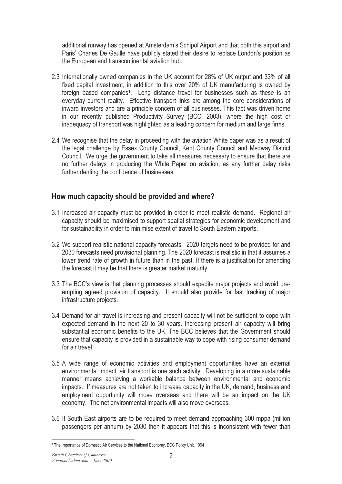additional runway has opened at Amsterdam's Schipol Airport and that both this airport and Paris' Charles De Gaulle have publicly stated their desire to replace London's position as the European and transcontinental aviation hub.

- 2.3 Internationally owned companies in the UK account for 28% of UK output and 33% of all fixed capital investment, in addition to this over 20% of UK manufacturing is owned by foreign based companies<sup>1</sup>. Long distance travel for businesses such as these is an everyday current reality. Effective transport links are among the core considerations of inward investors and are a principle concern of all businesses. This fact was driven home in our recently published Productivity Survey (BCC, 2003), where the high cost or inadequacy of transport was highlighted as a leading concern for medium and large firms.
- 2.4 We recognise that the delay in proceeding with the aviation White paper was as a result of the legal challenge by Essex County Council, Kent County Council and Medway District Council. We urge the government to take all measures necessary to ensure that there are no further delays in producing the White Paper on aviation, as any further delay risks further denting the confidence of businesses.

#### How much capacity should be provided and where?

- 3.1 Increased air capacity must be provided in order to meet realistic demand. Regional air capacity should be maximised to support spatial strategies for economic development and for sustainability in order to minimise extent of travel to South Eastern airports.
- 3.2 We support realistic national capacity forecasts. 2020 targets need to be provided for and 2030 forecasts need provisional planning. The 2020 forecast is realistic in that it assumes a lower trend rate of growth in future than in the past. If there is a justification for amending the forecast it may be that there is greater market maturity.
- 3.3 The BCC's view is that planning processes should expedite major projects and avoid preempting agreed provision of capacity. It should also provide for fast tracking of major infrastructure projects.
- 3.4 Demand for air travel is increasing and present capacity will not be sufficient to cope with expected demand in the next 20 to 30 years. Increasing present air capacity will bring substantial economic benefits to the UK. The BCC believes that the Government should ensure that capacity is provided in a sustainable way to cope with rising consumer demand for air travel.
- 3.5 A wide range of economic activities and employment opportunities have an external environmental impact; air transport is one such activity. Developing in a more sustainable manner means achieving a workable balance between environmental and economic impacts. If measures are not taken to increase capacity in the UK, demand, business and employment opportunity will move overseas and there will be an impact on the UK economy. The net environmental impacts will also move overseas.
- 3.6 If South East airports are to be required to meet demand approaching 300 mppa (million passengers per annum) by 2030 then it appears that this is inconsistent with fewer than

<sup>&</sup>lt;sup>1</sup> The Importance of Domestic Air Services to the National Economy, BCC Policy Unit, 1994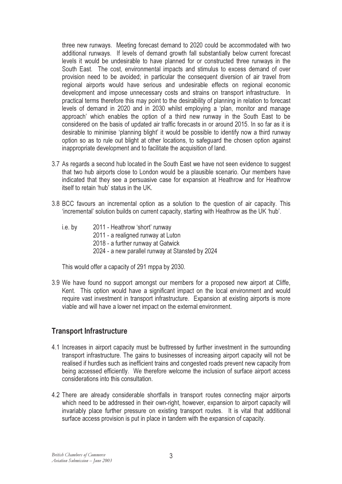three new runways. Meeting forecast demand to 2020 could be accommodated with two additional runways. If levels of demand growth fall substantially below current forecast levels it would be undesirable to have planned for or constructed three runways in the South East. The cost, environmental impacts and stimulus to excess demand of over provision need to be avoided; in particular the consequent diversion of air travel from regional airports would have serious and undesirable effects on regional economic development and impose unnecessary costs and strains on transport infrastructure. In practical terms therefore this may point to the desirability of planning in relation to forecast levels of demand in 2020 and in 2030 whilst employing a 'plan, monitor and manage approach' which enables the option of a third new runway in the South East to be considered on the basis of updated air traffic forecasts in or around 2015. In so far as it is desirable to minimise 'planning blight' it would be possible to identify now a third runway option so as to rule out blight at other locations, to safeguard the chosen option against inappropriate development and to facilitate the acquisition of land.

- 3.7 As regards a second hub located in the South East we have not seen evidence to suggest that two hub airports close to London would be a plausible scenario. Our members have indicated that they see a persuasive case for expansion at Heathrow and for Heathrow itself to retain 'hub' status in the UK.
- 3.8 BCC favours an incremental option as a solution to the question of air capacity. This 'incremental' solution builds on current capacity, starting with Heathrow as the UK 'hub'.
	- i.e. by 2011 Heathrow 'short' runway 2011 - a realigned runway at Luton 2018 - a further runway at Gatwick 2024 - a new parallel runway at Stansted by 2024

This would offer a capacity of 291 mppa by 2030.

3.9 We have found no support amongst our members for a proposed new airport at Cliffe, Kent. This option would have a significant impact on the local environment and would require vast investment in transport infrastructure. Expansion at existing airports is more viable and will have a lower net impact on the external environment.

## Transport Infrastructure

- 4.1 Increases in airport capacity must be buttressed by further investment in the surrounding transport infrastructure. The gains to businesses of increasing airport capacity will not be realised if hurdles such as inefficient trains and congested roads prevent new capacity from being accessed efficiently. We therefore welcome the inclusion of surface airport access considerations into this consultation.
- 4.2 There are already considerable shortfalls in transport routes connecting major airports which need to be addressed in their own-right, however, expansion to airport capacity will invariably place further pressure on existing transport routes. It is vital that additional surface access provision is put in place in tandem with the expansion of capacity.